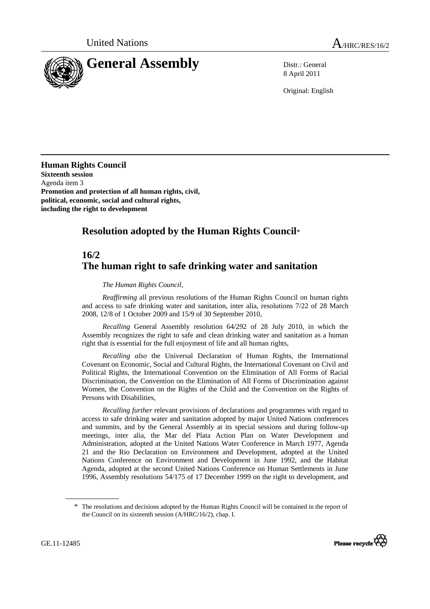

8 April 2011

Original: English

**Human Rights Council Sixteenth session**  Agenda item 3 **Promotion and protection of all human rights, civil, political, economic, social and cultural rights, including the right to development** 

## **Resolution adopted by the Human Rights Council**\*

## **16/2 The human right to safe drinking water and sanitation**

## *The Human Rights Council*,

*Reaffirming* all previous resolutions of the Human Rights Council on human rights and access to safe drinking water and sanitation, inter alia, resolutions 7/22 of 28 March 2008, 12/8 of 1 October 2009 and 15/9 of 30 September 2010,

*Recalling* General Assembly resolution 64/292 of 28 July 2010, in which the Assembly recognizes the right to safe and clean drinking water and sanitation as a human right that is essential for the full enjoyment of life and all human rights,

*Recalling also* the Universal Declaration of Human Rights, the International Covenant on Economic, Social and Cultural Rights, the International Covenant on Civil and Political Rights, the International Convention on the Elimination of All Forms of Racial Discrimination, the Convention on the Elimination of All Forms of Discrimination against Women, the Convention on the Rights of the Child and the Convention on the Rights of Persons with Disabilities,

*Recalling further* relevant provisions of declarations and programmes with regard to access to safe drinking water and sanitation adopted by major United Nations conferences and summits, and by the General Assembly at its special sessions and during follow-up meetings, inter alia, the Mar del Plata Action Plan on Water Development and Administration, adopted at the United Nations Water Conference in March 1977, Agenda 21 and the Rio Declaration on Environment and Development, adopted at the United Nations Conference on Environment and Development in June 1992, and the Habitat Agenda, adopted at the second United Nations Conference on Human Settlements in June 1996, Assembly resolutions 54/175 of 17 December 1999 on the right to development, and

<sup>\*</sup> The resolutions and decisions adopted by the Human Rights Council will be contained in the report of the Council on its sixteenth session (A/HRC/16/2), chap. I.

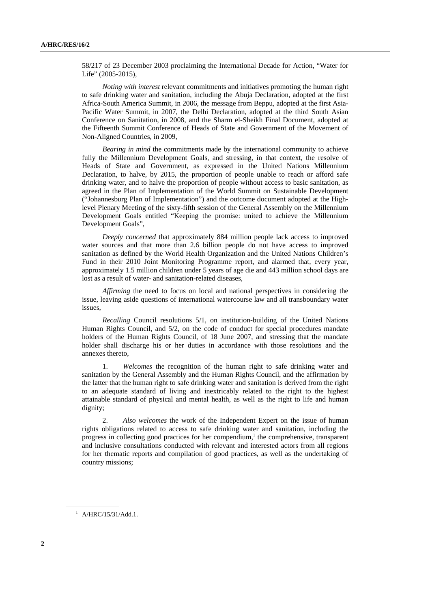58/217 of 23 December 2003 proclaiming the International Decade for Action, "Water for Life" (2005-2015),

*Noting with interest* relevant commitments and initiatives promoting the human right to safe drinking water and sanitation, including the Abuja Declaration, adopted at the first Africa-South America Summit, in 2006, the message from Beppu, adopted at the first Asia-Pacific Water Summit, in 2007, the Delhi Declaration, adopted at the third South Asian Conference on Sanitation, in 2008, and the Sharm el-Sheikh Final Document, adopted at the Fifteenth Summit Conference of Heads of State and Government of the Movement of Non-Aligned Countries, in 2009,

*Bearing in mind* the commitments made by the international community to achieve fully the Millennium Development Goals, and stressing, in that context, the resolve of Heads of State and Government, as expressed in the United Nations Millennium Declaration, to halve, by 2015, the proportion of people unable to reach or afford safe drinking water, and to halve the proportion of people without access to basic sanitation, as agreed in the Plan of Implementation of the World Summit on Sustainable Development ("Johannesburg Plan of Implementation") and the outcome document adopted at the Highlevel Plenary Meeting of the sixty-fifth session of the General Assembly on the Millennium Development Goals entitled "Keeping the promise: united to achieve the Millennium Development Goals",

*Deeply concerned* that approximately 884 million people lack access to improved water sources and that more than 2.6 billion people do not have access to improved sanitation as defined by the World Health Organization and the United Nations Children's Fund in their 2010 Joint Monitoring Programme report, and alarmed that, every year, approximately 1.5 million children under 5 years of age die and 443 million school days are lost as a result of water- and sanitation-related diseases,

*Affirming* the need to focus on local and national perspectives in considering the issue, leaving aside questions of international watercourse law and all transboundary water issues,

*Recalling* Council resolutions 5/1, on institution-building of the United Nations Human Rights Council, and 5/2, on the code of conduct for special procedures mandate holders of the Human Rights Council, of 18 June 2007, and stressing that the mandate holder shall discharge his or her duties in accordance with those resolutions and the annexes thereto,

1. *Welcomes* the recognition of the human right to safe drinking water and sanitation by the General Assembly and the Human Rights Council, and the affirmation by the latter that the human right to safe drinking water and sanitation is derived from the right to an adequate standard of living and inextricably related to the right to the highest attainable standard of physical and mental health, as well as the right to life and human dignity;

2. *Also welcomes* the work of the Independent Expert on the issue of human rights obligations related to access to safe drinking water and sanitation, including the progress in collecting good practices for her compendium,<sup>1</sup> the comprehensive, transparent and inclusive consultations conducted with relevant and interested actors from all regions for her thematic reports and compilation of good practices, as well as the undertaking of country missions;

<sup>1</sup> A/HRC/15/31/Add.1.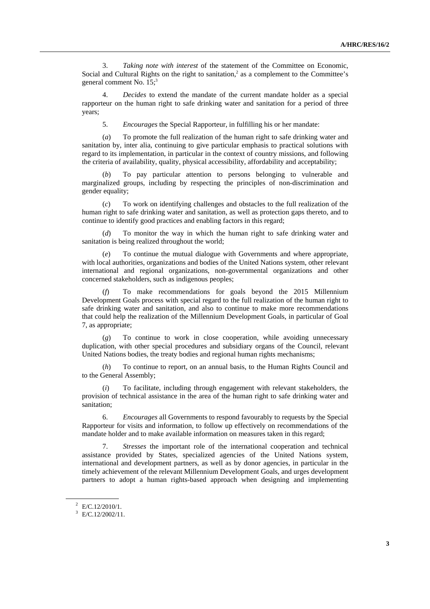3. *Taking note with interest* of the statement of the Committee on Economic, Social and Cultural Rights on the right to sanitation, $2$  as a complement to the Committee's general comment No.  $15$ ;<sup>3</sup>

4. *Decides* to extend the mandate of the current mandate holder as a special rapporteur on the human right to safe drinking water and sanitation for a period of three years;

5. *Encourages* the Special Rapporteur, in fulfilling his or her mandate:

 (*a*) To promote the full realization of the human right to safe drinking water and sanitation by, inter alia, continuing to give particular emphasis to practical solutions with regard to its implementation, in particular in the context of country missions, and following the criteria of availability, quality, physical accessibility, affordability and acceptability;

(*b*) To pay particular attention to persons belonging to vulnerable and marginalized groups, including by respecting the principles of non-discrimination and gender equality;

 (*c*) To work on identifying challenges and obstacles to the full realization of the human right to safe drinking water and sanitation, as well as protection gaps thereto, and to continue to identify good practices and enabling factors in this regard;

 (*d*) To monitor the way in which the human right to safe drinking water and sanitation is being realized throughout the world;

 (*e*) To continue the mutual dialogue with Governments and where appropriate, with local authorities, organizations and bodies of the United Nations system, other relevant international and regional organizations, non-governmental organizations and other concerned stakeholders, such as indigenous peoples;

 (*f*) To make recommendations for goals beyond the 2015 Millennium Development Goals process with special regard to the full realization of the human right to safe drinking water and sanitation, and also to continue to make more recommendations that could help the realization of the Millennium Development Goals, in particular of Goal 7, as appropriate;

 (*g*) To continue to work in close cooperation, while avoiding unnecessary duplication, with other special procedures and subsidiary organs of the Council, relevant United Nations bodies, the treaty bodies and regional human rights mechanisms;

 (*h*) To continue to report, on an annual basis, to the Human Rights Council and to the General Assembly;

 (*i*) To facilitate, including through engagement with relevant stakeholders, the provision of technical assistance in the area of the human right to safe drinking water and sanitation;

6. *Encourages* all Governments to respond favourably to requests by the Special Rapporteur for visits and information, to follow up effectively on recommendations of the mandate holder and to make available information on measures taken in this regard;

 7. *Stresses* the important role of the international cooperation and technical assistance provided by States, specialized agencies of the United Nations system, international and development partners, as well as by donor agencies, in particular in the timely achievement of the relevant Millennium Development Goals, and urges development partners to adopt a human rights-based approach when designing and implementing

 $E/C.12/2010/1$ .

 $E/C.12/2002/11$ .